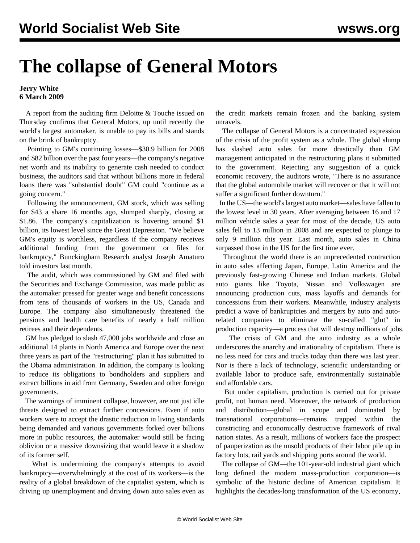## **The collapse of General Motors**

## **Jerry White 6 March 2009**

 A report from the auditing firm Deloitte & Touche issued on Thursday confirms that General Motors, up until recently the world's largest automaker, is unable to pay its bills and stands on the brink of bankruptcy.

 Pointing to GM's continuing losses—\$30.9 billion for 2008 and \$82 billion over the past four years—the company's negative net worth and its inability to generate cash needed to conduct business, the auditors said that without billions more in federal loans there was "substantial doubt" GM could "continue as a going concern."

 Following the announcement, GM stock, which was selling for \$43 a share 16 months ago, slumped sharply, closing at \$1.86. The company's capitalization is hovering around \$1 billion, its lowest level since the Great Depression. "We believe GM's equity is worthless, regardless if the company receives additional funding from the government or files for bankruptcy," Bunckingham Research analyst Joseph Amaturo told investors last month.

 The audit, which was commissioned by GM and filed with the Securities and Exchange Commission, was made public as the automaker pressed for greater wage and benefit concessions from tens of thousands of workers in the US, Canada and Europe. The company also simultaneously threatened the pensions and health care benefits of nearly a half million retirees and their dependents.

 GM has pledged to slash 47,000 jobs worldwide and close an additional 14 plants in North America and Europe over the next three years as part of the "restructuring" plan it has submitted to the Obama administration. In addition, the company is looking to reduce its obligations to bondholders and suppliers and extract billions in aid from Germany, Sweden and other foreign governments.

 The warnings of imminent collapse, however, are not just idle threats designed to extract further concessions. Even if auto workers were to accept the drastic reduction in living standards being demanded and various governments forked over billions more in public resources, the automaker would still be facing oblivion or a massive downsizing that would leave it a shadow of its former self.

 What is undermining the company's attempts to avoid bankruptcy—overwhelmingly at the cost of its workers—is the reality of a global breakdown of the capitalist system, which is driving up unemployment and driving down auto sales even as the credit markets remain frozen and the banking system unravels.

 The collapse of General Motors is a concentrated expression of the crisis of the profit system as a whole. The global slump has slashed auto sales far more drastically than GM management anticipated in the restructuring plans it submitted to the government. Rejecting any suggestion of a quick economic recovery, the auditors wrote, "There is no assurance that the global automobile market will recover or that it will not suffer a significant further downturn."

 In the US—the world's largest auto market—sales have fallen to the lowest level in 30 years. After averaging between 16 and 17 million vehicle sales a year for most of the decade, US auto sales fell to 13 million in 2008 and are expected to plunge to only 9 million this year. Last month, auto sales in China surpassed those in the US for the first time ever.

 Throughout the world there is an unprecedented contraction in auto sales affecting Japan, Europe, Latin America and the previously fast-growing Chinese and Indian markets. Global auto giants like Toyota, Nissan and Volkswagen are announcing production cuts, mass layoffs and demands for concessions from their workers. Meanwhile, industry analysts predict a wave of bankruptcies and mergers by auto and autorelated companies to eliminate the so-called "glut" in production capacity—a process that will destroy millions of jobs.

 The crisis of GM and the auto industry as a whole underscores the anarchy and irrationality of capitalism. There is no less need for cars and trucks today than there was last year. Nor is there a lack of technology, scientific understanding or available labor to produce safe, environmentally sustainable and affordable cars.

 But under capitalism, production is carried out for private profit, not human need. Moreover, the network of production and distribution—global in scope and dominated by transnational corporations—remains trapped within the constricting and economically destructive framework of rival nation states. As a result, millions of workers face the prospect of pauperization as the unsold products of their labor pile up in factory lots, rail yards and shipping ports around the world.

 The collapse of GM—the 101-year-old industrial giant which long defined the modern mass-production corporation—is symbolic of the historic decline of American capitalism. It highlights the decades-long transformation of the US economy,